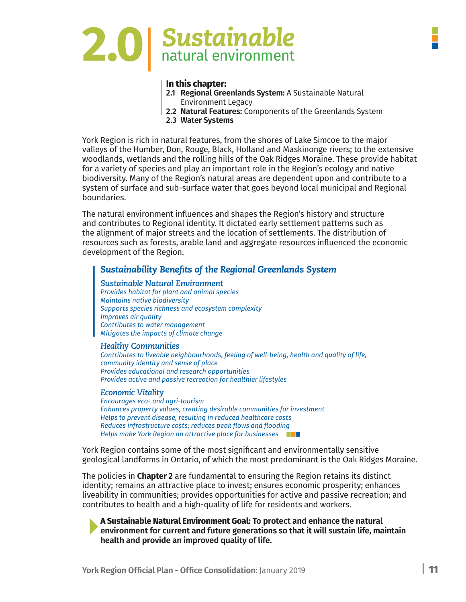

#### **In this chapter:**

- **2.1 Regional Greenlands System:** A Sustainable Natural Environment Legacy
- **2.2 Natural Features:** Components of the Greenlands System
- **2.3 Water Systems**

York Region is rich in natural features, from the shores of Lake Simcoe to the major valleys of the Humber, Don, Rouge, Black, Holland and Maskinonge rivers; to the extensive woodlands, wetlands and the rolling hills of the Oak Ridges Moraine. These provide habitat for a variety of species and play an important role in the Region's ecology and native biodiversity. Many of the Region's natural areas are dependent upon and contribute to a system of surface and sub-surface water that goes beyond local municipal and Regional boundaries.

The natural environment influences and shapes the Region's history and structure and contributes to Regional identity. It dictated early settlement patterns such as the alignment of major streets and the location of settlements. The distribution of resources such as forests, arable land and aggregate resources influenced the economic development of the Region.

#### *Sustainability Benefits of the Regional Greenlands System*

*Sustainable Natural Environment Provides habitat for plant and animal species Maintains native biodiversity Supports species richness and ecosystem complexity Improves air quality Contributes to water management Mitigates the impacts of climate change*

#### *Healthy Communities*

*Contributes to liveable neighbourhoods, feeling of well-being, health and quality of life, community identity and sense of place Provides educational and research opportunities Provides active and passive recreation for healthier lifestyles*

#### *Economic Vitality*

*Encourages eco- and agri-tourism Enhances property values, creating desirable communities for investment Helps to prevent disease, resulting in reduced healthcare costs Reduces infrastructure costs; reduces peak flows and flooding Helps make York Region an attractive place for businesses*

York Region contains some of the most significant and environmentally sensitive geological landforms in Ontario, of which the most predominant is the Oak Ridges Moraine.

The policies in **Chapter 2** are fundamental to ensuring the Region retains its distinct identity; remains an attractive place to invest; ensures economic prosperity; enhances liveability in communities; provides opportunities for active and passive recreation; and contributes to health and a high-quality of life for residents and workers.

**A Sustainable Natural Environment Goal: To protect and enhance the natural environment for current and future generations so that it will sustain life, maintain health and provide an improved quality of life.**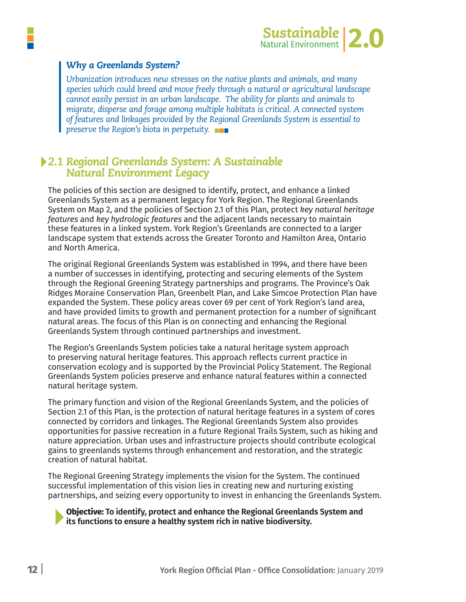

#### *Why a Greenlands System?*

*Urbanization introduces new stresses on the native plants and animals, and many species which could breed and move freely through a natural or agricultural landscape cannot easily persist in an urban landscape. The ability for plants and animals to migrate, disperse and forage among multiple habitats is critical. A connected system of features and linkages provided by the Regional Greenlands System is essential to preserve the Region's biota in perpetuity.*

# *2.1 Regional Greenlands System: A Sustainable Natural Environment Legacy*

The policies of this section are designed to identify, protect, and enhance a linked Greenlands System as a permanent legacy for York Region. The Regional Greenlands System on Map 2, and the policies of Section 2.1 of this Plan, protect *key natural heritage features* and *key hydrologic features* and the adjacent lands necessary to maintain these features in a linked system. York Region's Greenlands are connected to a larger landscape system that extends across the Greater Toronto and Hamilton Area, Ontario and North America.

The original Regional Greenlands System was established in 1994, and there have been a number of successes in identifying, protecting and securing elements of the System through the Regional Greening Strategy partnerships and programs. The Province's Oak Ridges Moraine Conservation Plan, Greenbelt Plan, and Lake Simcoe Protection Plan have expanded the System. These policy areas cover 69 per cent of York Region's land area, and have provided limits to growth and permanent protection for a number of significant natural areas. The focus of this Plan is on connecting and enhancing the Regional Greenlands System through continued partnerships and investment.

The Region's Greenlands System policies take a natural heritage system approach to preserving natural heritage features. This approach reflects current practice in conservation ecology and is supported by the Provincial Policy Statement. The Regional Greenlands System policies preserve and enhance natural features within a connected natural heritage system.

The primary function and vision of the Regional Greenlands System, and the policies of Section 2.1 of this Plan, is the protection of natural heritage features in a system of cores connected by corridors and linkages. The Regional Greenlands System also provides opportunities for passive recreation in a future Regional Trails System, such as hiking and nature appreciation. Urban uses and infrastructure projects should contribute ecological gains to greenlands systems through enhancement and restoration, and the strategic creation of natural habitat.

The Regional Greening Strategy implements the vision for the System. The continued successful implementation of this vision lies in creating new and nurturing existing partnerships, and seizing every opportunity to invest in enhancing the Greenlands System.

**Objective: To identify, protect and enhance the Regional Greenlands System and its functions to ensure a healthy system rich in native biodiversity.**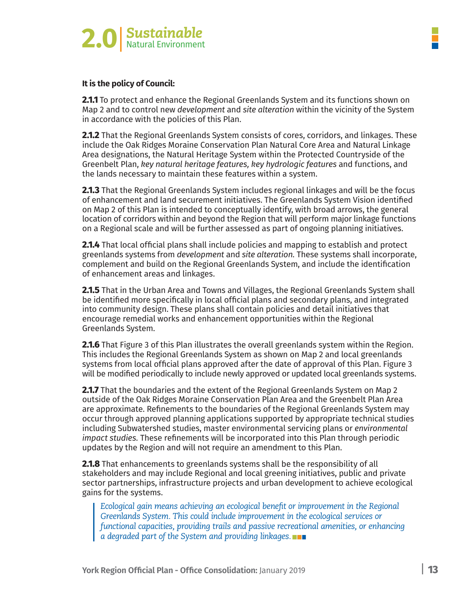

**2.1.1** To protect and enhance the Regional Greenlands System and its functions shown on Map 2 and to control new *development* and *site alteration* within the vicinity of the System in accordance with the policies of this Plan.

**2.1.2** That the Regional Greenlands System consists of cores, corridors, and linkages. These include the Oak Ridges Moraine Conservation Plan Natural Core Area and Natural Linkage Area designations, the Natural Heritage System within the Protected Countryside of the Greenbelt Plan, *key natural heritage features, key hydrologic features* and functions, and the lands necessary to maintain these features within a system.

**2.1.3** That the Regional Greenlands System includes regional linkages and will be the focus of enhancement and land securement initiatives. The Greenlands System Vision identified on Map 2 of this Plan is intended to conceptually identify, with broad arrows, the general location of corridors within and beyond the Region that will perform major linkage functions on a Regional scale and will be further assessed as part of ongoing planning initiatives.

**2.1.4** That local official plans shall include policies and mapping to establish and protect greenlands systems from *development* and *site alteration.* These systems shall incorporate, complement and build on the Regional Greenlands System, and include the identification of enhancement areas and linkages.

**2.1.5** That in the Urban Area and Towns and Villages, the Regional Greenlands System shall be identified more specifically in local official plans and secondary plans, and integrated into community design. These plans shall contain policies and detail initiatives that encourage remedial works and enhancement opportunities within the Regional Greenlands System.

**2.1.6** That Figure 3 of this Plan illustrates the overall greenlands system within the Region. This includes the Regional Greenlands System as shown on Map 2 and local greenlands systems from local official plans approved after the date of approval of this Plan. Figure 3 will be modified periodically to include newly approved or updated local greenlands systems.

**2.1.7** That the boundaries and the extent of the Regional Greenlands System on Map 2 outside of the Oak Ridges Moraine Conservation Plan Area and the Greenbelt Plan Area are approximate. Refinements to the boundaries of the Regional Greenlands System may occur through approved planning applications supported by appropriate technical studies including Subwatershed studies, master environmental servicing plans or *environmental impact studies.* These refinements will be incorporated into this Plan through periodic updates by the Region and will not require an amendment to this Plan.

**2.1.8** That enhancements to greenlands systems shall be the responsibility of all stakeholders and may include Regional and local greening initiatives, public and private sector partnerships, infrastructure projects and urban development to achieve ecological gains for the systems.

*Ecological gain means achieving an ecological benefit or improvement in the Regional Greenlands System. This could include improvement in the ecological services or functional capacities, providing trails and passive recreational amenities, or enhancing a degraded part of the System and providing linkages.*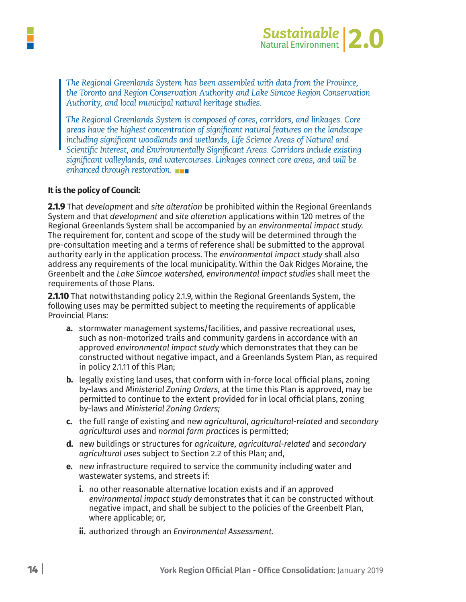



*The Regional Greenlands System has been assembled with data from the Province, the Toronto and Region Conservation Authority and Lake Simcoe Region Conservation Authority, and local municipal natural heritage studies.*

*The Regional Greenlands System is composed of cores, corridors, and linkages. Core areas have the highest concentration of significant natural features on the landscape including significant woodlands and wetlands, Life Science Areas of Natural and Scientific Interest, and Environmentally Significant Areas. Corridors include existing significant valleylands, and watercourses. Linkages connect core areas, and will be enhanced through restoration.*

#### **It is the policy of Council:**

**2.1.9** That *development* and *site alteration* be prohibited within the Regional Greenlands System and that *development* and *site alteration* applications within 120 metres of the Regional Greenlands System shall be accompanied by an *environmental impact study.* The requirement for, content and scope of the study will be determined through the pre-consultation meeting and a terms of reference shall be submitted to the approval authority early in the application process. The *environmental impact study* shall also address any requirements of the local municipality. Within the Oak Ridges Moraine, the Greenbelt and the *Lake Simcoe watershed, environmental impact studies* shall meet the requirements of those Plans.

**2.1.10** That notwithstanding policy 2.1.9, within the Regional Greenlands System, the following uses may be permitted subject to meeting the requirements of applicable Provincial Plans:

- **a.** stormwater management systems/facilities, and passive recreational uses, such as non-motorized trails and community gardens in accordance with an approved *environmental impact study* which demonstrates that they can be constructed without negative impact, and a Greenlands System Plan, as required in policy 2.1.11 of this Plan;
- **b.** legally existing land uses, that conform with in-force local official plans, zoning by-laws and *Ministerial Zoning Orders,* at the time this Plan is approved, may be permitted to continue to the extent provided for in local official plans, zoning by-laws and *Ministerial Zoning Orders;*
- **c.** the full range of existing and new *agricultural, agricultural-related* and *secondary agricultural uses* and *normal farm practices* is permitted;
- **d.** new buildings or structures for *agriculture, agricultural-related* and *secondary agricultural uses* subject to Section 2.2 of this Plan; and,
- **e.** new infrastructure required to service the community including water and wastewater systems, and streets if:
	- **i.** no other reasonable alternative location exists and if an approved *environmental impact study* demonstrates that it can be constructed without negative impact, and shall be subject to the policies of the Greenbelt Plan, where applicable; or,
	- **ii.** authorized through an *Environmental Assessment.*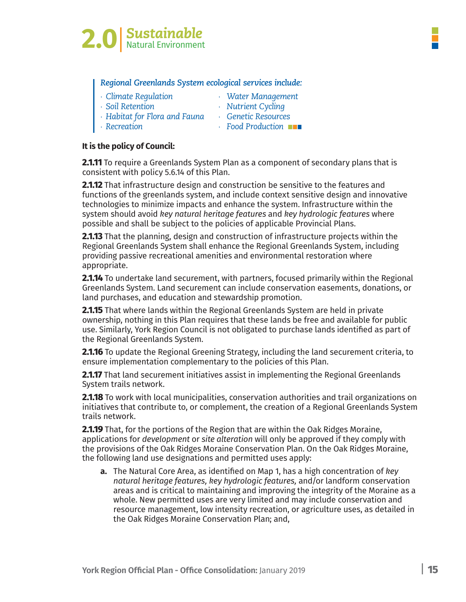

#### *Regional Greenlands System ecological services include:*

| Climate Regulation | Water Management |
|--------------------|------------------|
|                    |                  |

*∙ Soil Retention ∙ Nutrient Cycling*

- *∙ Habitat for Flora and Fauna ∙ Genetic Resources*
- 
- *∙ Recreation ∙ Food Production*

#### **It is the policy of Council:**

**2.1.11** To require a Greenlands System Plan as a component of secondary plans that is consistent with policy 5.6.14 of this Plan.

**2.1.12** That infrastructure design and construction be sensitive to the features and functions of the greenlands system, and include context sensitive design and innovative technologies to minimize impacts and enhance the system. Infrastructure within the system should avoid *key natural heritage features* and *key hydrologic features* where possible and shall be subject to the policies of applicable Provincial Plans.

**2.1.13** That the planning, design and construction of infrastructure projects within the Regional Greenlands System shall enhance the Regional Greenlands System, including providing passive recreational amenities and environmental restoration where appropriate.

**2.1.14** To undertake land securement, with partners, focused primarily within the Regional Greenlands System. Land securement can include conservation easements, donations, or land purchases, and education and stewardship promotion.

**2.1.15** That where lands within the Regional Greenlands System are held in private ownership, nothing in this Plan requires that these lands be free and available for public use. Similarly, York Region Council is not obligated to purchase lands identified as part of the Regional Greenlands System.

**2.1.16** To update the Regional Greening Strategy, including the land securement criteria, to ensure implementation complementary to the policies of this Plan.

**2.1.17** That land securement initiatives assist in implementing the Regional Greenlands System trails network.

**2.1.18** To work with local municipalities, conservation authorities and trail organizations on initiatives that contribute to, or complement, the creation of a Regional Greenlands System trails network.

**2.1.19** That, for the portions of the Region that are within the Oak Ridges Moraine, applications for *development* or *site alteration* will only be approved if they comply with the provisions of the Oak Ridges Moraine Conservation Plan. On the Oak Ridges Moraine, the following land use designations and permitted uses apply:

**a.** The Natural Core Area, as identified on Map 1, has a high concentration of *key natural heritage features, key hydrologic features,* and/or landform conservation areas and is critical to maintaining and improving the integrity of the Moraine as a whole. New permitted uses are very limited and may include conservation and resource management, low intensity recreation, or agriculture uses, as detailed in the Oak Ridges Moraine Conservation Plan; and,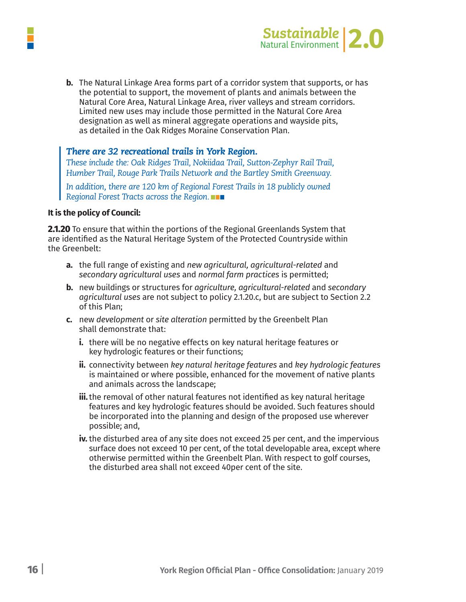

**b.** The Natural Linkage Area forms part of a corridor system that supports, or has the potential to support, the movement of plants and animals between the Natural Core Area, Natural Linkage Area, river valleys and stream corridors. Limited new uses may include those permitted in the Natural Core Area designation as well as mineral aggregate operations and wayside pits, as detailed in the Oak Ridges Moraine Conservation Plan.

#### *There are 32 recreational trails in York Region.*

*These include the: Oak Ridges Trail, Nokiidaa Trail, Sutton-Zephyr Rail Trail, Humber Trail, Rouge Park Trails Network and the Bartley Smith Greenway. In addition, there are 120 km of Regional Forest Trails in 18 publicly owned Regional Forest Tracts across the Region.*

#### **It is the policy of Council:**

**2.1.20** To ensure that within the portions of the Regional Greenlands System that are identified as the Natural Heritage System of the Protected Countryside within the Greenbelt:

- **a.** the full range of existing and *new agricultural, agricultural-related* and *secondary agricultural uses* and *normal farm practices* is permitted;
- **b.** new buildings or structures for *agriculture, agricultural-related* and *secondary agricultural uses* are not subject to policy 2.1.20.c, but are subject to Section 2.2 of this Plan;
- **c.** new *development* or *site alteration* permitted by the Greenbelt Plan shall demonstrate that:
	- **i.** there will be no negative effects on key natural heritage features or key hydrologic features or their functions;
	- **ii.** connectivity between *key natural heritage features* and *key hydrologic features* is maintained or where possible, enhanced for the movement of native plants and animals across the landscape;
	- **iii.** the removal of other natural features not identified as key natural heritage features and key hydrologic features should be avoided. Such features should be incorporated into the planning and design of the proposed use wherever possible; and,
	- **iv.** the disturbed area of any site does not exceed 25 per cent, and the impervious surface does not exceed 10 per cent, of the total developable area, except where otherwise permitted within the Greenbelt Plan. With respect to golf courses, the disturbed area shall not exceed 40per cent of the site.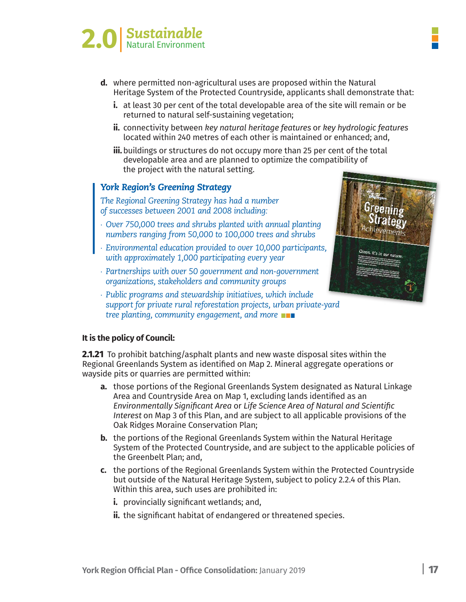

- **d.** where permitted non-agricultural uses are proposed within the Natural Heritage System of the Protected Countryside, applicants shall demonstrate that:
	- i. at least 30 per cent of the total developable area of the site will remain or be returned to natural self-sustaining vegetation;
	- ii. connectivity between key natural heritage features or key hydrologic features located within 240 metres of each other is maintained or enhanced; and,
	- iii. buildings or structures do not occupy more than 25 per cent of the total developable area and are planned to optimize the compatibility of the project with the natural setting.

#### *York Region's Greening Strategy*

*The Regional Greening Strategy has had a number of successes between 2001 and 2008 including:*

- *∙ Over 750,000 trees and shrubs planted with annual planting numbers ranging from 50,000 to 100,000 trees and shrubs*
- *∙ Environmental education provided to over 10,000 participants, with approximately 1,000 participating every year*
- *∙ Partnerships with over 50 government and non-government organizations, stakeholders and community groups*
- *∙ Public programs and stewardship initiatives, which include support for private rural reforestation projects, urban private-yard tree planting, community engagement, and more*



#### **It is the policy of Council:**

**2.1.21** To prohibit batching/asphalt plants and new waste disposal sites within the Regional Greenlands System as identified on Map 2. Mineral aggregate operations or wayside pits or quarries are permitted within:

- **a.** those portions of the Regional Greenlands System designated as Natural Linkage Area and Countryside Area on Map 1, excluding lands identified as an *Environmentally Significant Area* or *Life Science Area of Natural and Scientific Interest* on Map 3 of this Plan, and are subject to all applicable provisions of the Oak Ridges Moraine Conservation Plan;
- **b.** the portions of the Regional Greenlands System within the Natural Heritage System of the Protected Countryside, and are subject to the applicable policies of the Greenbelt Plan; and,
- **c.** the portions of the Regional Greenlands System within the Protected Countryside but outside of the Natural Heritage System, subject to policy 2.2.4 of this Plan. Within this area, such uses are prohibited in:
	- **i.** provincially significant wetlands; and,
	- **ii.** the significant habitat of endangered or threatened species.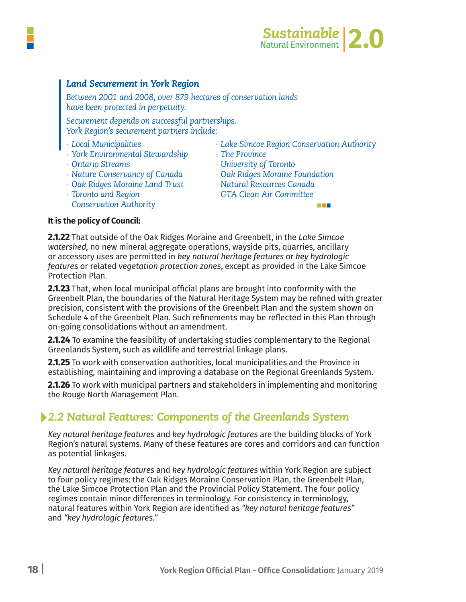

a a s

#### *Land Securement in York Region*

*Between 2001 and 2008, over 879 hectares of conservation lands have been protected in perpetuity.* 

*Securement depends on successful partnerships. York Region's securement partners include:*

- 
- *∙ York Environmental Stewardship ∙ The Province*
- 
- 
- *∙ Oak Ridges Moraine Land Trust ∙ Natural Resources Canada*
- 
- *Conservation Authority*
- *∙ Local Municipalities ∙ Lake Simcoe Region Conservation Authority*
	-
- *∙ Ontario Streams ∙ University of Toronto*
- *∙ Nature Conservancy of Canada ∙ Oak Ridges Moraine Foundation*
	-
- *∙ Toronto and Region ∙ GTA Clean Air Committee*

#### **It is the policy of Council:**

**2.1.22** That outside of the Oak Ridges Moraine and Greenbelt, in the *Lake Simcoe watershed,* no new mineral aggregate operations, wayside pits, quarries, ancillary or accessory uses are permitted in *key natural heritage features* or *key hydrologic features* or related *vegetation protection zones*, except as provided in the Lake Simcoe Protection Plan.

**2.1.23** That, when local municipal official plans are brought into conformity with the Greenbelt Plan, the boundaries of the Natural Heritage System may be refined with greater precision, consistent with the provisions of the Greenbelt Plan and the system shown on Schedule 4 of the Greenbelt Plan. Such refinements may be reflected in this Plan through on-going consolidations without an amendment.

**2.1.24** To examine the feasibility of undertaking studies complementary to the Regional Greenlands System, such as wildlife and terrestrial linkage plans.

**2.1.25** To work with conservation authorities, local municipalities and the Province in establishing, maintaining and improving a database on the Regional Greenlands System.

**2.1.26** To work with municipal partners and stakeholders in implementing and monitoring the Rouge North Management Plan.

### *2.2 Natural Features: Components of the Greenlands System*

*Key natural heritage features* and *key hydrologic features* are the building blocks of York Region's natural systems. Many of these features are cores and corridors and can function as potential linkages.

*Key natural heritage features* and *key hydrologic features* within York Region are subject to four policy regimes: the Oak Ridges Moraine Conservation Plan, the Greenbelt Plan, the Lake Simcoe Protection Plan and the Provincial Policy Statement. The four policy regimes contain minor differences in terminology. For consistency in terminology, natural features within York Region are identified as *"key natural heritage features"* and *"key hydrologic features."*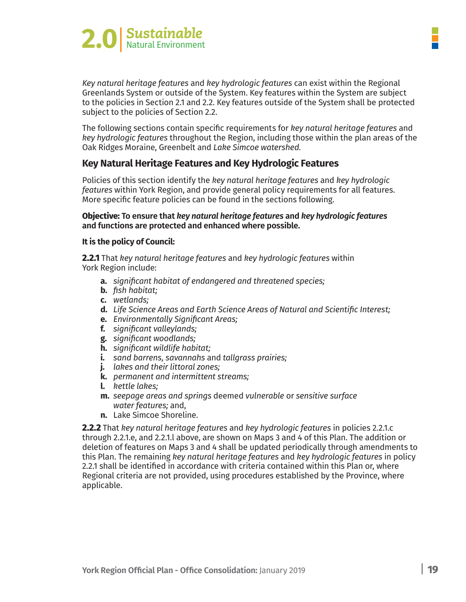

*Key natural heritage features* and *key hydrologic features* can exist within the Regional Greenlands System or outside of the System. Key features within the System are subject to the policies in Section 2.1 and 2.2. Key features outside of the System shall be protected subject to the policies of Section 2.2.

The following sections contain specific requirements for *key natural heritage features* and *key hydrologic features* throughout the Region, including those within the plan areas of the Oak Ridges Moraine, Greenbelt and *Lake Simcoe watershed.*

#### **Key Natural Heritage Features and Key Hydrologic Features**

Policies of this section identify the *key natural heritage features* and *key hydrologic features* within York Region, and provide general policy requirements for all features. More specific feature policies can be found in the sections following.

**Objective: To ensure that** *key natural heritage features* **and** *key hydrologic features* **and functions are protected and enhanced where possible.** 

#### **It is the policy of Council:**

**2.2.1** That *key natural heritage features* and *key hydrologic features* within York Region include:

- **a.** *significant habitat of endangered and threatened species;*
- **b.** *fish habitat;*
- **c.** *wetlands;*
- **d.** *Life Science Areas and Earth Science Areas of Natural and Scientific Interest;*
- **e.** *Environmentally Significant Areas;*
- **f.** *significant valleylands;*
- **g.** *significant woodlands;*
- **h.** *significant wildlife habitat;*
- **i.** *sand barrens, savannahs* and *tallgrass prairies;*
- **j.** *lakes and their littoral zones;*
- **k.** *permanent and intermittent streams;*
- **l.** *kettle lakes;*
- **m.** *seepage areas and springs* deemed *vulnerable* or *sensitive surface water features;* and,
- **n.** Lake Simcoe Shoreline.

**2.2.2** That *key natural heritage features* and *key hydrologic features* in policies 2.2.1.c through 2.2.1.e, and 2.2.1.l above, are shown on Maps 3 and 4 of this Plan. The addition or deletion of features on Maps 3 and 4 shall be updated periodically through amendments to this Plan. The remaining *key natural heritage features* and *key hydrologic features* in policy 2.2.1 shall be identified in accordance with criteria contained within this Plan or, where Regional criteria are not provided, using procedures established by the Province, where applicable.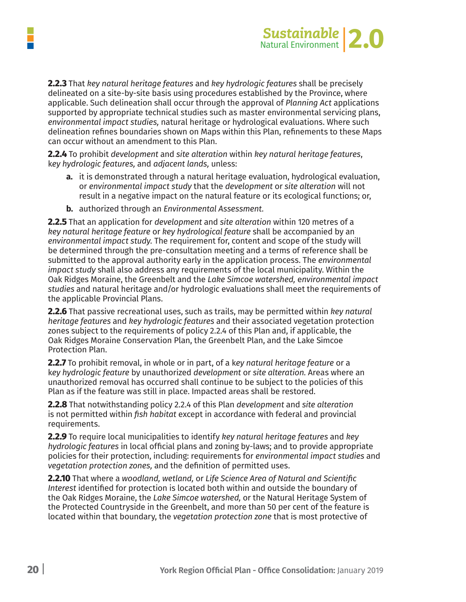

**2.2.3** That *key natural heritage features* and *key hydrologic features* shall be precisely delineated on a site-by-site basis using procedures established by the Province, where applicable. Such delineation shall occur through the approval of *Planning Act* applications supported by appropriate technical studies such as master environmental servicing plans, *environmental impact studies,* natural heritage or hydrological evaluations. Where such delineation refines boundaries shown on Maps within this Plan, refinements to these Maps can occur without an amendment to this Plan.

**2.2.4** To prohibit *development* and *site alteration* within *key natural heritage features*, k*ey hydrologic features,* and *adjacent lands,* unless:

- **a.** it is demonstrated through a natural heritage evaluation, hydrological evaluation, or *environmental impact study* that the *development* or *site alteration* will not result in a negative impact on the natural feature or its ecological functions; or,
- **b.** authorized through an *Environmental Assessment.*

**2.2.5** That an application for *development* and *site alteration* within 120 metres of a *key natural heritage feature* or *key hydrological feature* shall be accompanied by an *environmental impact study.* The requirement for, content and scope of the study will be determined through the pre-consultation meeting and a terms of reference shall be submitted to the approval authority early in the application process. The *environmental impact study* shall also address any requirements of the local municipality. Within the Oak Ridges Moraine, the Greenbelt and the *Lake Simcoe watershed,* e*nvironmental impact studies* and natural heritage and/or hydrologic evaluations shall meet the requirements of the applicable Provincial Plans.

**2.2.6** That passive recreational uses, such as trails, may be permitted within *key natural heritage features* and *key hydrologic features* and their associated vegetation protection zones subject to the requirements of policy 2.2.4 of this Plan and, if applicable, the Oak Ridges Moraine Conservation Plan, the Greenbelt Plan, and the Lake Simcoe Protection Plan.

**2.2.7** To prohibit removal, in whole or in part, of a k*ey natural heritage feature* or a k*ey hydrologic feature* by unauthorized *development* or *site alteration.* Areas where an unauthorized removal has occurred shall continue to be subject to the policies of this Plan as if the feature was still in place. Impacted areas shall be restored.

**2.2.8** That notwithstanding policy 2.2.4 of this Plan *development* and *site alteration* is not permitted within *fish habitat* except in accordance with federal and provincial requirements.

**2.2.9** To require local municipalities to identify *key natural heritage features* and *key hydrologic features* in local official plans and zoning by-laws; and to provide appropriate policies for their protection, including: requirements for *environmental impact studies* and *vegetation protection zones,* and the definition of permitted uses.

**2.2.10** That where a *woodland, wetland,* or *Life Science Area of Natural and Scientific Interest* identified for protection is located both within and outside the boundary of the Oak Ridges Moraine, the *Lake Simcoe watershed,* or the Natural Heritage System of the Protected Countryside in the Greenbelt, and more than 50 per cent of the feature is located within that boundary, the *vegetation protection zone* that is most protective of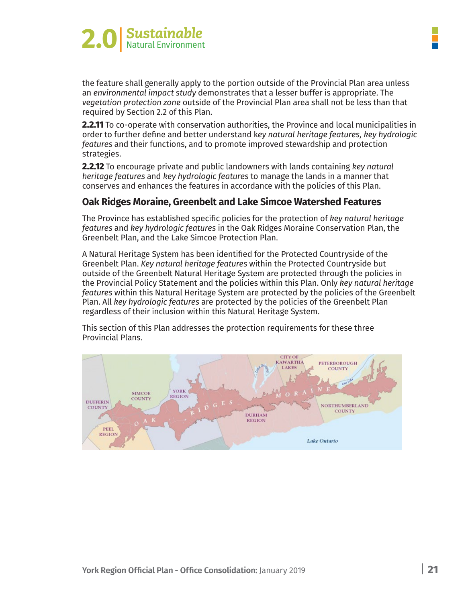

the feature shall generally apply to the portion outside of the Provincial Plan area unless an *environmental impact study* demonstrates that a lesser buffer is appropriate. The *vegetation protection zone* outside of the Provincial Plan area shall not be less than that required by Section 2.2 of this Plan.

**2.2.11** To co-operate with conservation authorities, the Province and local municipalities in order to further define and better understand k*ey natural heritage features, key hydrologic features* and their functions, and to promote improved stewardship and protection strategies.

**2.2.12** To encourage private and public landowners with lands containing *key natural heritage features* and *key hydrologic features* to manage the lands in a manner that conserves and enhances the features in accordance with the policies of this Plan.

#### **Oak Ridges Moraine, Greenbelt and Lake Simcoe Watershed Features**

The Province has established specific policies for the protection of *key natural heritage features* and *key hydrologic features* in the Oak Ridges Moraine Conservation Plan, the Greenbelt Plan, and the Lake Simcoe Protection Plan.

A Natural Heritage System has been identified for the Protected Countryside of the Greenbelt Plan. *Key natural heritage features* within the Protected Countryside but outside of the Greenbelt Natural Heritage System are protected through the policies in the Provincial Policy Statement and the policies within this Plan. Only *key natural heritage features* within this Natural Heritage System are protected by the policies of the Greenbelt Plan. All *key hydrologic features* are protected by the policies of the Greenbelt Plan regardless of their inclusion within this Natural Heritage System.

This section of this Plan addresses the protection requirements for these three Provincial Plans.

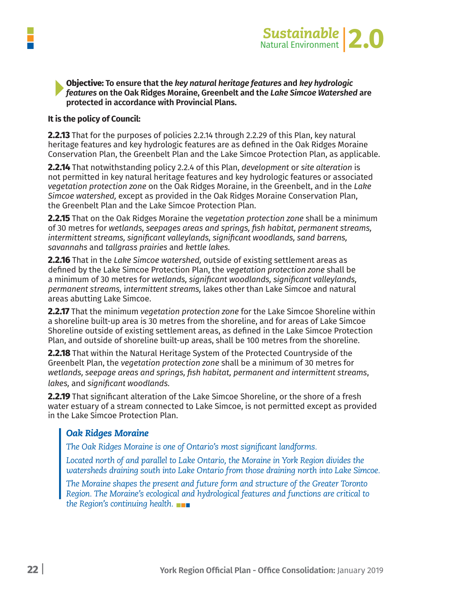

# **Objective:** To ensure that the *key natural heritage features* and *key hydrologic*<br>*features* on the Oak Ridges Moraine, Greenbelt and the Lake Simcoe Watershed are protected in accordance with Provincial Plans.

#### **It is the policy of Council:**

**2.2.13** That for the purposes of policies 2.2.14 through 2.2.29 of this Plan, key natural heritage features and key hydrologic features are as defined in the Oak Ridges Moraine Conservation Plan, the Greenbelt Plan and the Lake Simcoe Protection Plan, as applicable.

**2.2.14** That notwithstanding policy 2.2.4 of this Plan, *development* or *site alteration* is not permitted in key natural heritage features and key hydrologic features or associated *vegetation protection zone* on the Oak Ridges Moraine, in the Greenbelt, and in the *Lake Simcoe watershed,* except as provided in the Oak Ridges Moraine Conservation Plan, the Greenbelt Plan and the Lake Simcoe Protection Plan.

**2.2.15** That on the Oak Ridges Moraine the *vegetation protection zone* shall be a minimum of 30 metres for *wetlands, seepages areas and springs, fish habitat, permanent streams, intermittent streams, significant valleylands, significant woodlands, sand barrens, savannahs* and *tallgrass prairies* and *kettle lakes.*

**2.2.16** That in the *Lake Simcoe watershed,* outside of existing settlement areas as defined by the Lake Simcoe Protection Plan, the *vegetation protection zone* shall be a minimum of 30 metres for *wetlands, significant woodlands, significant valleylands, permanent streams,* i*ntermittent streams,* lakes other than Lake Simcoe and natural areas abutting Lake Simcoe.

**2.2.17** That the minimum *vegetation protection zone* for the Lake Simcoe Shoreline within a shoreline built-up area is 30 metres from the shoreline, and for areas of Lake Simcoe Shoreline outside of existing settlement areas, as defined in the Lake Simcoe Protection Plan, and outside of shoreline built-up areas, shall be 100 metres from the shoreline.

**2.2.18** That within the Natural Heritage System of the Protected Countryside of the Greenbelt Plan, the *vegetation protection zone* shall be a minimum of 30 metres for *wetlands, seepage areas and springs, fish habitat, permanent and intermittent streams*, *lakes,* and *significant woodlands.*

**2.2.19** That significant alteration of the Lake Simcoe Shoreline, or the shore of a fresh water estuary of a stream connected to Lake Simcoe, is not permitted except as provided in the Lake Simcoe Protection Plan.

#### *Oak Ridges Moraine*

*The Oak Ridges Moraine is one of Ontario's most significant landforms.* 

*Located north of and parallel to Lake Ontario, the Moraine in York Region divides the watersheds draining south into Lake Ontario from those draining north into Lake Simcoe.* 

*The Moraine shapes the present and future form and structure of the Greater Toronto Region. The Moraine's ecological and hydrological features and functions are critical to the Region's continuing health.*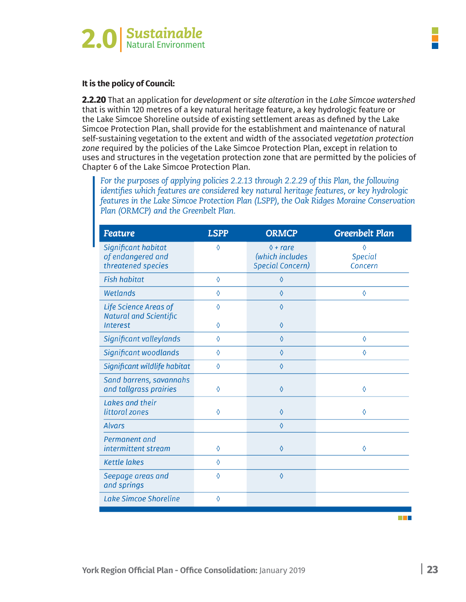

**2.2.20** That an application for *development* or *site alteration* in the *Lake Simcoe watershed* that is within 120 metres of a key natural heritage feature, a key hydrologic feature or the Lake Simcoe Shoreline outside of existing settlement areas as defined by the Lake Simcoe Protection Plan, shall provide for the establishment and maintenance of natural self-sustaining vegetation to the extent and width of the associated *vegetation protection zone* required by the policies of the Lake Simcoe Protection Plan, except in relation to uses and structures in the vegetation protection zone that are permitted by the policies of Chapter 6 of the Lake Simcoe Protection Plan.

*For the purposes of applying policies 2.2.13 through 2.2.29 of this Plan, the following identifies which features are considered key natural heritage features, or key hydrologic features in the Lake Simcoe Protection Plan (LSPP), the Oak Ridges Moraine Conservation Plan (ORMCP) and the Greenbelt Plan.*

| <b>Feature</b>                                                 | <b>LSPP</b> | <b>ORMCP</b>                                                    | <b>Greenbelt Plan</b>          |
|----------------------------------------------------------------|-------------|-----------------------------------------------------------------|--------------------------------|
| Significant habitat<br>of endangered and<br>threatened species | ♦           | $\Diamond$ + rare<br>(which includes<br><b>Special Concern)</b> | 0<br><b>Special</b><br>Concern |
| <b>Fish habitat</b>                                            | ♦           | $\Diamond$                                                      |                                |
| Wetlands                                                       | $\Diamond$  | $\Diamond$                                                      | $\Diamond$                     |
| Life Science Areas of<br><b>Natural and Scientific</b>         | ♦           | $\Diamond$                                                      |                                |
| <b>Interest</b>                                                | 0           | $\Diamond$                                                      |                                |
| Significant valleylands                                        | ♦           | $\Diamond$                                                      | $\Diamond$                     |
| Significant woodlands                                          | 0           | $\Diamond$                                                      | $\Diamond$                     |
| Significant wildlife habitat                                   | $\Diamond$  | $\Diamond$                                                      |                                |
| Sand barrens, savannahs<br>and tallgrass prairies              | ♦           | $\Diamond$                                                      | $\Diamond$                     |
| Lakes and their<br>littoral zones                              | 0           | $\Diamond$                                                      | ♦                              |
| <b>Alvars</b>                                                  |             | $\Diamond$                                                      |                                |
| Permanent and<br>intermittent stream                           | ♦           | $\Diamond$                                                      | $\Diamond$                     |
| <b>Kettle lakes</b>                                            | ♦           |                                                                 |                                |
| Seepage areas and<br>and springs                               | 0           | $\Diamond$                                                      |                                |
| <b>Lake Simcoe Shoreline</b>                                   | ♦           |                                                                 |                                |

T E B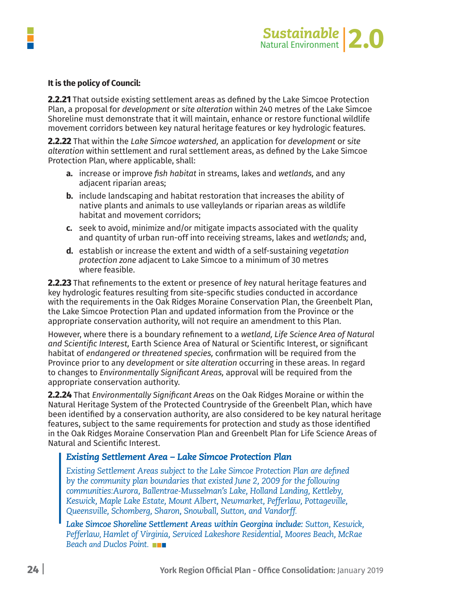

**2.2.21** That outside existing settlement areas as defined by the Lake Simcoe Protection Plan, a proposal for *development* or *site alteration* within 240 metres of the Lake Simcoe Shoreline must demonstrate that it will maintain, enhance or restore functional wildlife movement corridors between key natural heritage features or key hydrologic features.

**2.2.22** That within the *Lake Simcoe watershed,* an application for *development* or s*ite alteration* within settlement and rural settlement areas, as defined by the Lake Simcoe Protection Plan, where applicable, shall:

- **a.** increase or improve *fish habitat* in streams, lakes and *wetlands,* and any adjacent riparian areas;
- **b.** include landscaping and habitat restoration that increases the ability of native plants and animals to use valleylands or riparian areas as wildlife habitat and movement corridors;
- **c.** seek to avoid, minimize and/or mitigate impacts associated with the quality and quantity of urban run-off into receiving streams, lakes and *wetlands;* and,
- **d.** establish or increase the extent and width of a self-sustaining *vegetation protection zone* adjacent to Lake Simcoe to a minimum of 30 metres where feasible.

**2.2.23** That refinements to the extent or presence of *k*ey natural heritage features and key hydrologic features resulting from site-specific studies conducted in accordance with the requirements in the Oak Ridges Moraine Conservation Plan, the Greenbelt Plan, the Lake Simcoe Protection Plan and updated information from the Province or the appropriate conservation authority, will not require an amendment to this Plan.

However, where there is a boundary refinement to a *wetland, Life Science Area of Natural and Scientific Interest,* Earth Science Area of Natural or Scientific Interest, or significant habitat of *endangered or threatened species,* confirmation will be required from the Province prior to any *development* or *site alteration* occurring in these areas. In regard to changes to *Environmentally Significant Areas,* approval will be required from the appropriate conservation authority.

**2.2.24** That *Environmentally Significant Areas* on the Oak Ridges Moraine or within the Natural Heritage System of the Protected Countryside of the Greenbelt Plan, which have been identified by a conservation authority, are also considered to be key natural heritage features, subject to the same requirements for protection and study as those identified in the Oak Ridges Moraine Conservation Plan and Greenbelt Plan for Life Science Areas of Natural and Scientific Interest.

#### *Existing Settlement Area – Lake Simcoe Protection Plan*

*Existing Settlement Areas subject to the Lake Simcoe Protection Plan are defined by the community plan boundaries that existed June 2, 2009 for the following communities:Aurora, Ballentrae-Musselman's Lake, Holland Landing, Kettleby, Keswick, Maple Lake Estate, Mount Albert, Newmarket, Pefferlaw, Pottageville, Queensville, Schomberg, Sharon, Snowball, Sutton, and Vandorff.*

*Lake Simcoe Shoreline Settlement Areas within Georgina include: Sutton, Keswick, Pefferlaw, Hamlet of Virginia, Serviced Lakeshore Residential, Moores Beach, McRae Beach and Duclos Point.*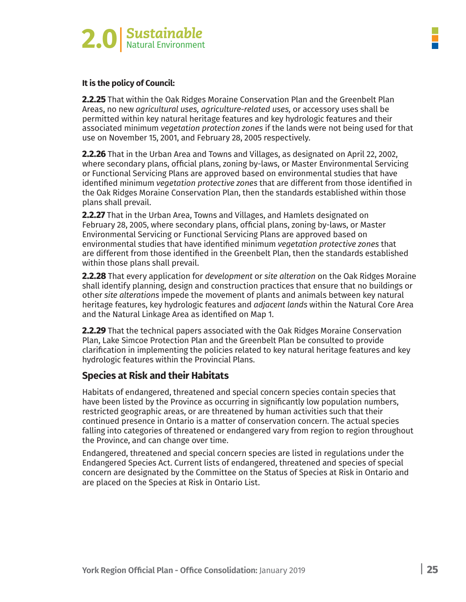

**2.2.25** That within the Oak Ridges Moraine Conservation Plan and the Greenbelt Plan Areas, no new *agricultural uses, agriculture-related uses,* or accessory uses shall be permitted within key natural heritage features and key hydrologic features and their associated minimum *vegetation protection zones* if the lands were not being used for that use on November 15, 2001, and February 28, 2005 respectively.

**2.2.26** That in the Urban Area and Towns and Villages, as designated on April 22, 2002, where secondary plans, official plans, zoning by-laws, or Master Environmental Servicing or Functional Servicing Plans are approved based on environmental studies that have identified minimum *vegetation protective zones* that are different from those identified in the Oak Ridges Moraine Conservation Plan, then the standards established within those plans shall prevail.

**2.2.27** That in the Urban Area, Towns and Villages, and Hamlets designated on February 28, 2005, where secondary plans, official plans, zoning by-laws, or Master Environmental Servicing or Functional Servicing Plans are approved based on environmental studies that have identified minimum *vegetation protective zones* that are different from those identified in the Greenbelt Plan, then the standards established within those plans shall prevail.

**2.2.28** That every application for *development* or *site alteration* on the Oak Ridges Moraine shall identify planning, design and construction practices that ensure that no buildings or other *site alterations* impede the movement of plants and animals between key natural heritage features, key hydrologic features and *adjacent lands* within the Natural Core Area and the Natural Linkage Area as identified on Map 1.

**2.2.29** That the technical papers associated with the Oak Ridges Moraine Conservation Plan, Lake Simcoe Protection Plan and the Greenbelt Plan be consulted to provide clarification in implementing the policies related to key natural heritage features and key hydrologic features within the Provincial Plans.

#### **Species at Risk and their Habitats**

Habitats of endangered, threatened and special concern species contain species that have been listed by the Province as occurring in significantly low population numbers, restricted geographic areas, or are threatened by human activities such that their continued presence in Ontario is a matter of conservation concern. The actual species falling into categories of threatened or endangered vary from region to region throughout the Province, and can change over time.

Endangered, threatened and special concern species are listed in regulations under the Endangered Species Act. Current lists of endangered, threatened and species of special concern are designated by the Committee on the Status of Species at Risk in Ontario and are placed on the Species at Risk in Ontario List.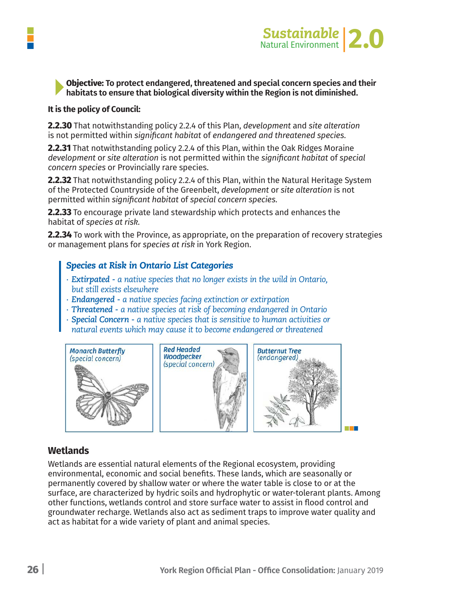

#### **Objective: To protect endangered, threatened and special concern species and their** habitats to ensure that biological diversity within the Region is not diminished.

#### **It is the policy of Council:**

**2.2.30** That notwithstanding policy 2.2.4 of this Plan, *development* and *site alteration* is not permitted within *significant habitat* of *endangered and threatened species.*

**2.2.31** That notwithstanding policy 2.2.4 of this Plan, within the Oak Ridges Moraine *development* or *site alteration* is not permitted within the *significant habitat* of *special concern species* or Provincially rare species.

**2.2.32** That notwithstanding policy 2.2.4 of this Plan, within the Natural Heritage System of the Protected Countryside of the Greenbelt, *development* or *site alteration* is not permitted within *significant habitat* of *special concern species.*

**2.2.33** To encourage private land stewardship which protects and enhances the habitat of *species at risk.*

**2.2.34** To work with the Province, as appropriate, on the preparation of recovery strategies or management plans for *species at risk* in York Region.

#### *Species at Risk in Ontario List Categories*

- *∙ Extirpated - a native species that no longer exists in the wild in Ontario, but still exists elsewhere*
- *∙ Endangered - a native species facing extinction or extirpation*
- *∙ Threatened - a native species at risk of becoming endangered in Ontario*
- *∙ Special Concern - a native species that is sensitive to human activities or*
- *natural events which may cause it to become endangered or threatened*



#### **Wetlands**

Wetlands are essential natural elements of the Regional ecosystem, providing environmental, economic and social benefits. These lands, which are seasonally or permanently covered by shallow water or where the water table is close to or at the surface, are characterized by hydric soils and hydrophytic or water-tolerant plants. Among other functions, wetlands control and store surface water to assist in flood control and groundwater recharge. Wetlands also act as sediment traps to improve water quality and act as habitat for a wide variety of plant and animal species.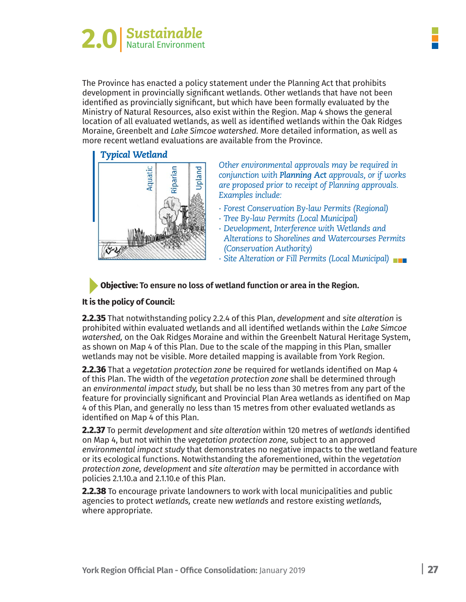

The Province has enacted a policy statement under the Planning Act that prohibits development in provincially significant wetlands. Other wetlands that have not been identified as provincially significant, but which have been formally evaluated by the Ministry of Natural Resources, also exist within the Region. Map 4 shows the general location of all evaluated wetlands, as well as identified wetlands within the Oak Ridges Moraine, Greenbelt and *Lake Simcoe watershed.* More detailed information, as well as more recent wetland evaluations are available from the Province.

# *Typical Wetland*



*Other environmental approvals may be required in conjunction with Planning Act approvals, or if works are proposed prior to receipt of Planning approvals. Examples include:*

- *∙ Forest Conservation By-law Permits (Regional)*
- *∙ Tree By-law Permits (Local Municipal)*
- *∙ Development, Interference with Wetlands and Alterations to Shorelines and Watercourses Permits (Conservation Authority)*
- *∙ Site Alteration or Fill Permits (Local Municipal)*

#### **Objective: To ensure no loss of wetland function or area in the Region.**

#### **It is the policy of Council:**

**2.2.35** That notwithstanding policy 2.2.4 of this Plan, *development* and *site alteration* is prohibited within evaluated wetlands and all identified wetlands within the *Lake Simcoe watershed,* on the Oak Ridges Moraine and within the Greenbelt Natural Heritage System, as shown on Map 4 of this Plan. Due to the scale of the mapping in this Plan, smaller wetlands may not be visible. More detailed mapping is available from York Region.

**2.2.36** That a *vegetation protection zone* be required for wetlands identified on Map 4 of this Plan. The width of the *vegetation protection zone* shall be determined through an *environmental impact study,* but shall be no less than 30 metres from any part of the feature for provincially significant and Provincial Plan Area wetlands as identified on Map 4 of this Plan, and generally no less than 15 metres from other evaluated wetlands as identified on Map 4 of this Plan.

**2.2.37** To permit *development* and *site alteration* within 120 metres of *wetlands* identified on Map 4, but not within the *vegetation protection zone,* subject to an approved *environmental impact study* that demonstrates no negative impacts to the wetland feature or its ecological functions. Notwithstanding the aforementioned, within the *vegetation protection zone, development* and *site alteration* may be permitted in accordance with policies 2.1.10.a and 2.1.10.e of this Plan.

**2.2.38** To encourage private landowners to work with local municipalities and public agencies to protect *wetlands,* create new *wetlands* and restore existing *wetlands,* where appropriate.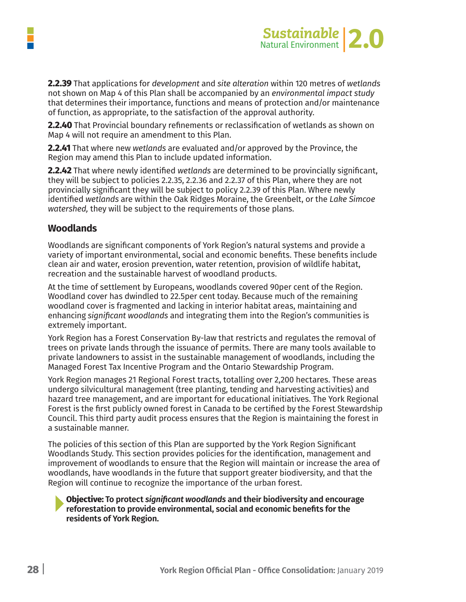

**2.2.39** That applications for *development* and *site alteration* within 120 metres of *wetlands* not shown on Map 4 of this Plan shall be accompanied by an *environmental impact study* that determines their importance, functions and means of protection and/or maintenance of function, as appropriate, to the satisfaction of the approval authority.

**2.2.40** That Provincial boundary refinements or reclassification of wetlands as shown on Map 4 will not require an amendment to this Plan.

**2.2.41** That where new *wetlands* are evaluated and/or approved by the Province, the Region may amend this Plan to include updated information.

**2.2.42** That where newly identified *wetlands* are determined to be provincially significant, they will be subject to policies 2.2.35, 2.2.36 and 2.2.37 of this Plan, where they are not provincially significant they will be subject to policy 2.2.39 of this Plan. Where newly identified *wetlands* are within the Oak Ridges Moraine, the Greenbelt, or the *Lake Simcoe watershed,* they will be subject to the requirements of those plans.

#### **Woodlands**

Woodlands are significant components of York Region's natural systems and provide a variety of important environmental, social and economic benefits. These benefits include clean air and water, erosion prevention, water retention, provision of wildlife habitat, recreation and the sustainable harvest of woodland products.

At the time of settlement by Europeans, woodlands covered 90per cent of the Region. Woodland cover has dwindled to 22.5per cent today. Because much of the remaining woodland cover is fragmented and lacking in interior habitat areas, maintaining and enhancing *significant woodlands* and integrating them into the Region's communities is extremely important.

York Region has a Forest Conservation By-law that restricts and regulates the removal of trees on private lands through the issuance of permits. There are many tools available to private landowners to assist in the sustainable management of woodlands, including the Managed Forest Tax Incentive Program and the Ontario Stewardship Program.

York Region manages 21 Regional Forest tracts, totalling over 2,200 hectares. These areas undergo silvicultural management (tree planting, tending and harvesting activities) and hazard tree management, and are important for educational initiatives. The York Regional Forest is the first publicly owned forest in Canada to be certified by the Forest Stewardship Council. This third party audit process ensures that the Region is maintaining the forest in a sustainable manner.

The policies of this section of this Plan are supported by the York Region Significant Woodlands Study. This section provides policies for the identification, management and improvement of woodlands to ensure that the Region will maintain or increase the area of woodlands, have woodlands in the future that support greater biodiversity, and that the Region will continue to recognize the importance of the urban forest.

**Objective: To protect** *significant woodlands* **and their biodiversity and encourage reforestation to provide environmental, social and economic benefits for the residents of York Region.**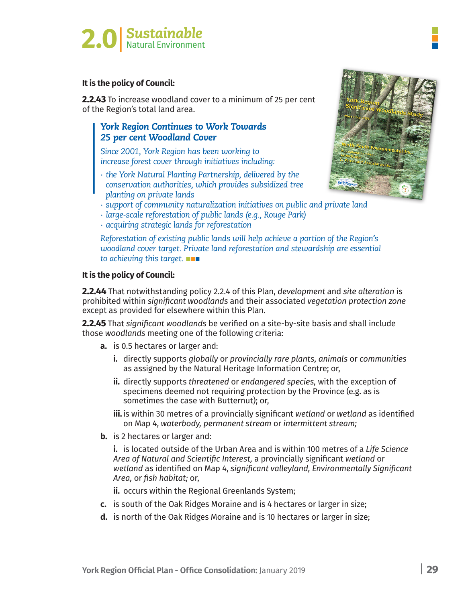

**2.2.43** To increase woodland cover to a minimum of 25 per cent of the Region's total land area.

#### *York Region Continues to Work Towards 25 per cent Woodland Cover*

*Since 2001, York Region has been working to increase forest cover through initiatives including:*

*∙ the York Natural Planting Partnership, delivered by the conservation authorities, which provides subsidized tree planting on private lands*



- *∙ support of community naturalization initiatives on public and private land*
- *∙ large-scale reforestation of public lands (e.g., Rouge Park)*
- *∙ acquiring strategic lands for reforestation*

*Reforestation of existing public lands will help achieve a portion of the Region's woodland cover target. Private land reforestation and stewardship are essential to achieving this target.*

#### **It is the policy of Council:**

**2.2.44** That notwithstanding policy 2.2.4 of this Plan, *development* and *site alteration* is prohibited within *significant woodlands* and their associated *vegetation protection zone* except as provided for elsewhere within this Plan.

**2.2.45** That *significant woodlands* be verified on a site-by-site basis and shall include those *woodlands* meeting one of the following criteria:

- **a.** is 0.5 hectares or larger and:
	- **i.** directly supports *globally* or *provincially rare plants, animals* or *communities* as assigned by the Natural Heritage Information Centre; or,
	- **ii.** directly supports *threatened* or *endangered species,* with the exception of specimens deemed not requiring protection by the Province (e.g. as is sometimes the case with Butternut); or,
	- **iii.** is within 30 metres of a provincially significant *wetland* or *wetland* as identified on Map 4, *waterbody, permanent stream* or *intermittent stream;*
- **b.** is 2 hectares or larger and:

 **i.** is located outside of the Urban Area and is within 100 metres of a *Life Science Area of Natural and Scientific Interest,* a provincially significant *wetland* or *wetland* as identified on Map 4, *significant valleyland, Environmentally Significant Area,* or *fish habitat;* or,

**ii.** occurs within the Regional Greenlands System;

- **c.** is south of the Oak Ridges Moraine and is 4 hectares or larger in size;
- **d.** is north of the Oak Ridges Moraine and is 10 hectares or larger in size;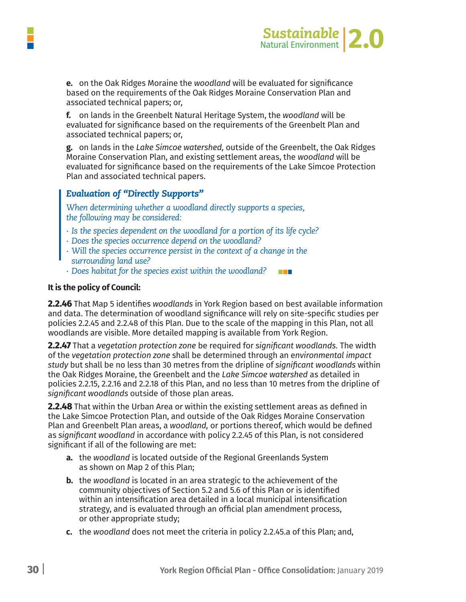



**e.** on the Oak Ridges Moraine the woodland will be evaluated for significance based on the requirements of the Oak Ridges Moraine Conservation Plan and associated technical papers; or,

f. on lands in the Greenbelt Natural Heritage System, the woodland will be evaluated for significance based on the requirements of the Greenbelt Plan and associated technical papers; or,

g. on lands in the Lake Simcoe watershed, outside of the Greenbelt, the Oak Ridges Moraine Conservation Plan, and existing settlement areas, the woodland will be evaluated for significance based on the requirements of the Lake Simcoe Protection Plan and associated technical papers.

#### *Evaluation of "Directly Supports"*

*When determining whether a woodland directly supports a species, the following may be considered:*

- *∙ Is the species dependent on the woodland for a portion of its life cycle?*
- *∙ Does the species occurrence depend on the woodland?*
- *∙ Will the species occurrence persist in the context of a change in the surrounding land use?*
- *∙ Does habitat for the species exist within the woodland?*  $\blacksquare$

#### **It is the policy of Council:**

**2.2.46** That Map 5 identifies *woodlands* in York Region based on best available information and data. The determination of woodland significance will rely on site-specific studies per policies 2.2.45 and 2.2.48 of this Plan. Due to the scale of the mapping in this Plan, not all woodlands are visible. More detailed mapping is available from York Region.

**2.2.47** That a *vegetation protection zone* be required for *significant woodlands.* The width of the *vegetation protection zone* shall be determined through an e*nvironmental impact study* but shall be no less than 30 metres from the dripline of *significant woodlands* within the Oak Ridges Moraine, the Greenbelt and the *Lake Simcoe watershed* as detailed in policies 2.2.15, 2.2.16 and 2.2.18 of this Plan, and no less than 10 metres from the dripline of *significant woodlands* outside of those plan areas.

**2.2.48** That within the Urban Area or within the existing settlement areas as defined in the Lake Simcoe Protection Plan, and outside of the Oak Ridges Moraine Conservation Plan and Greenbelt Plan areas, a *woodland,* or portions thereof, which would be defined as *significant woodland* in accordance with policy 2.2.45 of this Plan, is not considered significant if all of the following are met:

- **a.** the *woodland* is located outside of the Regional Greenlands System as shown on Map 2 of this Plan;
- **b.** the *woodland* is located in an area strategic to the achievement of the community objectives of Section 5.2 and 5.6 of this Plan or is identified within an intensification area detailed in a local municipal intensification strategy, and is evaluated through an official plan amendment process, or other appropriate study;
- **c.** the *woodland* does not meet the criteria in policy 2.2.45.a of this Plan; and,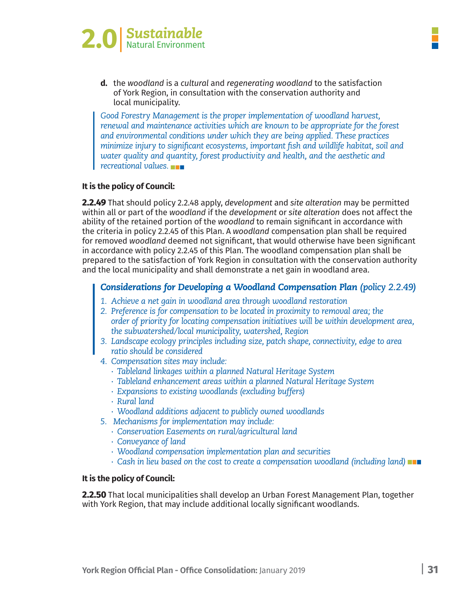



**d.** the woodland is a cultural and regenerating woodland to the satisfaction of York Region, in consultation with the conservation authority and local municipality.

*Good Forestry Management is the proper implementation of woodland harvest, renewal and maintenance activities which are known to be appropriate for the forest and environmental conditions under which they are being applied. These practices minimize injury to significant ecosystems, important fish and wildlife habitat, soil and water quality and quantity, forest productivity and health, and the aesthetic and recreational values.*

#### **It is the policy of Council:**

**2.2.49** That should policy 2.2.48 apply, *development* and *site alteration* may be permitted within all or part of the *woodland* if the *development* or *site alteration* does not affect the ability of the retained portion of the *woodland* to remain significant in accordance with the criteria in policy 2.2.45 of this Plan. A *woodland* compensation plan shall be required for removed *woodland* deemed not significant, that would otherwise have been significant in accordance with policy 2.2.45 of this Plan. The woodland compensation plan shall be prepared to the satisfaction of York Region in consultation with the conservation authority and the local municipality and shall demonstrate a net gain in woodland area.

#### *Considerations for Developing a Woodland Compensation Plan (policy 2.2.49)*

- *1. Achieve a net gain in woodland area through woodland restoration*
- *2. Preference is for compensation to be located in proximity to removal area; the order of priority for locating compensation initiatives will be within development area, the subwatershed/local municipality, watershed, Region*
- *3. Landscape ecology principles including size, patch shape, connectivity, edge to area ratio should be considered*
- *4. Compensation sites may include:*
	- *∙ Tableland linkages within a planned Natural Heritage System*
	- *∙ Tableland enhancement areas within a planned Natural Heritage System*
	- *∙ Expansions to existing woodlands (excluding buffers)*
	- *∙ Rural land*
	- *∙ Woodland additions adjacent to publicly owned woodlands*
- *5. Mechanisms for implementation may include:*
	- *∙ Conservation Easements on rural/agricultural land*
	- *∙ Conveyance of land*
	- *∙ Woodland compensation implementation plan and securities*
	- *∙ Cash in lieu based on the cost to create a compensation woodland (including land)*

#### **It is the policy of Council:**

**2.2.50** That local municipalities shall develop an Urban Forest Management Plan, together with York Region, that may include additional locally significant woodlands.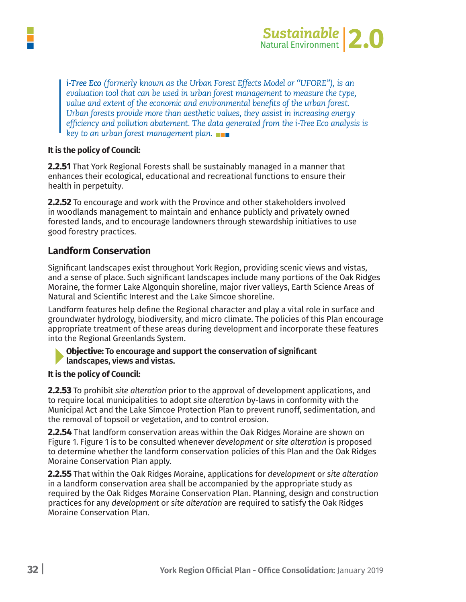

*i-Tree Eco (formerly known as the Urban Forest Effects Model or "UFORE"), is an evaluation tool that can be used in urban forest management to measure the type, value and extent of the economic and environmental benefits of the urban forest. Urban forests provide more than aesthetic values, they assist in increasing energy efficiency and pollution abatement. The data generated from the i-Tree Eco analysis is key to an urban forest management plan.*

#### **It is the policy of Council:**

**2.2.51** That York Regional Forests shall be sustainably managed in a manner that enhances their ecological, educational and recreational functions to ensure their health in perpetuity.

**2.2.52** To encourage and work with the Province and other stakeholders involved in woodlands management to maintain and enhance publicly and privately owned forested lands, and to encourage landowners through stewardship initiatives to use good forestry practices.

#### **Landform Conservation**

Significant landscapes exist throughout York Region, providing scenic views and vistas, and a sense of place. Such significant landscapes include many portions of the Oak Ridges Moraine, the former Lake Algonquin shoreline, major river valleys, Earth Science Areas of Natural and Scientific Interest and the Lake Simcoe shoreline.

Landform features help define the Regional character and play a vital role in surface and groundwater hydrology, biodiversity, and micro climate. The policies of this Plan encourage appropriate treatment of these areas during development and incorporate these features into the Regional Greenlands System.

#### **Objective: To encourage and support the conservation of significant landscapes, views and vistas.**

#### **It is the policy of Council:**

**2.2.53** To prohibit *site alteration* prior to the approval of development applications, and to require local municipalities to adopt *site alteration* by-laws in conformity with the Municipal Act and the Lake Simcoe Protection Plan to prevent runoff, sedimentation, and the removal of topsoil or vegetation, and to control erosion.

**2.2.54** That landform conservation areas within the Oak Ridges Moraine are shown on Figure 1. Figure 1 is to be consulted whenever *development* or *site alteration* is proposed to determine whether the landform conservation policies of this Plan and the Oak Ridges Moraine Conservation Plan apply.

**2.2.55** That within the Oak Ridges Moraine, applications for *development* or *site alteration* in a landform conservation area shall be accompanied by the appropriate study as required by the Oak Ridges Moraine Conservation Plan. Planning, design and construction practices for any *development* or *site alteration* are required to satisfy the Oak Ridges Moraine Conservation Plan.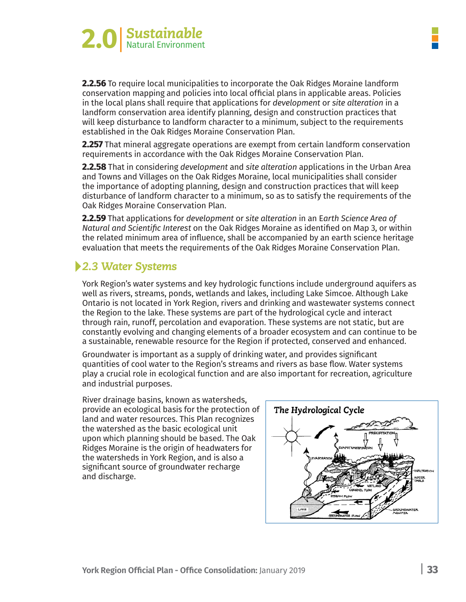

**2.2.56** To require local municipalities to incorporate the Oak Ridges Moraine landform conservation mapping and policies into local official plans in applicable areas. Policies in the local plans shall require that applications for *development* or *site alteration* in a landform conservation area identify planning, design and construction practices that will keep disturbance to landform character to a minimum, subject to the requirements established in the Oak Ridges Moraine Conservation Plan.

**2.257** That mineral aggregate operations are exempt from certain landform conservation requirements in accordance with the Oak Ridges Moraine Conservation Plan.

**2.2.58** That in considering *development* and *site alteration* applications in the Urban Area and Towns and Villages on the Oak Ridges Moraine, local municipalities shall consider the importance of adopting planning, design and construction practices that will keep disturbance of landform character to a minimum, so as to satisfy the requirements of the Oak Ridges Moraine Conservation Plan.

**2.2.59** That applications for *development* or *site alteration* in an E*arth Science Area of Natural and Scientific Interest* on the Oak Ridges Moraine as identified on Map 3, or within the related minimum area of influence, shall be accompanied by an earth science heritage evaluation that meets the requirements of the Oak Ridges Moraine Conservation Plan.

# *2.3 Water Systems*

York Region's water systems and key hydrologic functions include underground aquifers as well as rivers, streams, ponds, wetlands and lakes, including Lake Simcoe. Although Lake Ontario is not located in York Region, rivers and drinking and wastewater systems connect the Region to the lake. These systems are part of the hydrological cycle and interact through rain, runoff, percolation and evaporation. These systems are not static, but are constantly evolving and changing elements of a broader ecosystem and can continue to be a sustainable, renewable resource for the Region if protected, conserved and enhanced.

Groundwater is important as a supply of drinking water, and provides significant quantities of cool water to the Region's streams and rivers as base flow. Water systems play a crucial role in ecological function and are also important for recreation, agriculture and industrial purposes.

River drainage basins, known as watersheds, provide an ecological basis for the protection of land and water resources. This Plan recognizes the watershed as the basic ecological unit upon which planning should be based. The Oak Ridges Moraine is the origin of headwaters for the watersheds in York Region, and is also a significant source of groundwater recharge and discharge.

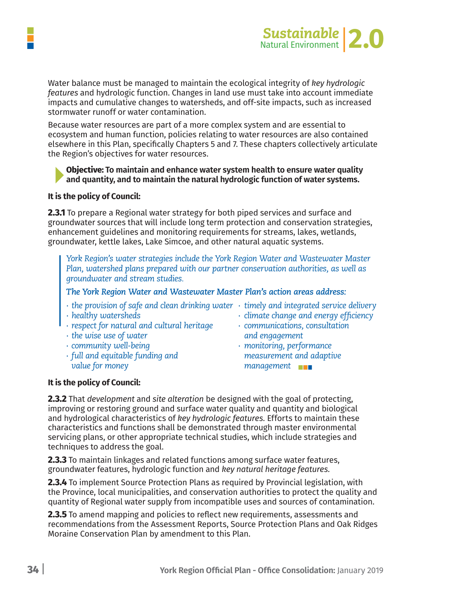

Water balance must be managed to maintain the ecological integrity of *key hydrologic features* and hydrologic function. Changes in land use must take into account immediate impacts and cumulative changes to watersheds, and off-site impacts, such as increased stormwater runoff or water contamination.

Because water resources are part of a more complex system and are essential to ecosystem and human function, policies relating to water resources are also contained elsewhere in this Plan, specifically Chapters 5 and 7. These chapters collectively articulate the Region's objectives for water resources.

#### **Objective: To maintain and enhance water system health to ensure water quality and quantity, and to maintain the natural hydrologic function of water systems.**

#### **It is the policy of Council:**

**2.3.1** To prepare a Regional water strategy for both piped services and surface and groundwater sources that will include long term protection and conservation strategies, enhancement guidelines and monitoring requirements for streams, lakes, wetlands, groundwater, kettle lakes, Lake Simcoe, and other natural aquatic systems.

*York Region's water strategies include the York Region Water and Wastewater Master Plan, watershed plans prepared with our partner conservation authorities, as well as groundwater and stream studies.*

#### *The York Region Water and Wastewater Master Plan's action areas address:*

- *∙ the provision of safe and clean drinking water ∙ timely and integrated service delivery*
- 
- *∙ respect for natural and cultural heritage ∙ communications, consultation*
- *∙ the wise use of water and engagement*
- 
- *value for money management*
- 
- *∙ healthy watersheds ∙ climate change and energy efficiency*
- 
- *∙ community well-being ∙ monitoring, performance ∙ full and equitable funding and measurement and adaptive*

#### **It is the policy of Council:**

**2.3.2** That *development* and *site alteration* be designed with the goal of protecting, improving or restoring ground and surface water quality and quantity and biological and hydrological characteristics of *key hydrologic features.* Efforts to maintain these characteristics and functions shall be demonstrated through master environmental servicing plans, or other appropriate technical studies, which include strategies and techniques to address the goal.

**2.3.3** To maintain linkages and related functions among surface water features, groundwater features, hydrologic function and *key natural heritage features.*

**2.3.4** To implement Source Protection Plans as required by Provincial legislation, with the Province, local municipalities, and conservation authorities to protect the quality and quantity of Regional water supply from incompatible uses and sources of contamination.

**2.3.5** To amend mapping and policies to reflect new requirements, assessments and recommendations from the Assessment Reports, Source Protection Plans and Oak Ridges Moraine Conservation Plan by amendment to this Plan.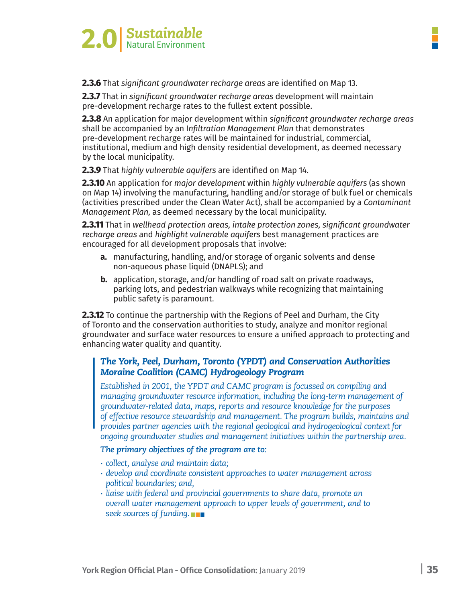

**2.3.6** That *significant groundwater recharge areas* are identified on Map 13.

**2.3.7** That in *significant groundwater recharge areas* development will maintain pre-development recharge rates to the fullest extent possible.

**2.3.8** An application for major development within *significant groundwater recharge areas* shall be accompanied by an I*nfiltration Management Plan* that demonstrates pre-development recharge rates will be maintained for industrial, commercial, institutional, medium and high density residential development, as deemed necessary by the local municipality.

**2.3.9** That *highly vulnerable aquifers* are identified on Map 14.

**2.3.10** An application for *major development* within *highly vulnerable aquifers* (as shown on Map 14) involving the manufacturing, handling and/or storage of bulk fuel or chemicals (activities prescribed under the Clean Water Act), shall be accompanied by a *Contaminant Management Plan,* as deemed necessary by the local municipality.

**2.3.11** That in *wellhead protection areas, intake protection zones, significant groundwater recharge areas* and *highlight vulnerable aquifers* best management practices are encouraged for all development proposals that involve:

- **a.** manufacturing, handling, and/or storage of organic solvents and dense non-aqueous phase liquid (DNAPLS); and
- **b.** application, storage, and/or handling of road salt on private roadways, parking lots, and pedestrian walkways while recognizing that maintaining public safety is paramount.

**2.3.12** To continue the partnership with the Regions of Peel and Durham, the City of Toronto and the conservation authorities to study, analyze and monitor regional groundwater and surface water resources to ensure a unified approach to protecting and enhancing water quality and quantity.

#### *The York, Peel, Durham, Toronto (YPDT) and Conservation Authorities Moraine Coalition (CAMC) Hydrogeology Program*

*Established in 2001, the YPDT and CAMC program is focussed on compiling and managing groundwater resource information, including the long-term management of groundwater-related data, maps, reports and resource knowledge for the purposes of effective resource stewardship and management. The program builds, maintains and provides partner agencies with the regional geological and hydrogeological context for ongoing groundwater studies and management initiatives within the partnership area.*

#### *The primary objectives of the program are to:*

- *∙ collect, analyse and maintain data;*
- *∙ develop and coordinate consistent approaches to water management across political boundaries; and,*
- *∙ liaise with federal and provincial governments to share data, promote an overall water management approach to upper levels of government, and to seek sources of funding.*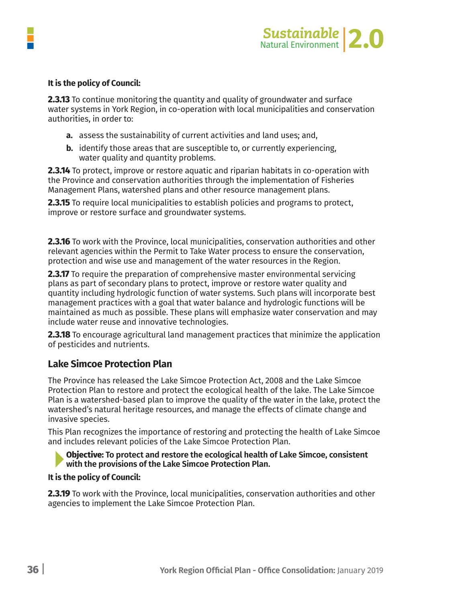

**2.3.13** To continue monitoring the quantity and quality of groundwater and surface water systems in York Region, in co-operation with local municipalities and conservation authorities, in order to:

- **a.** assess the sustainability of current activities and land uses; and,
- **b.** identify those areas that are susceptible to, or currently experiencing, water quality and quantity problems.

**2.3.14** To protect, improve or restore aquatic and riparian habitats in co-operation with the Province and conservation authorities through the implementation of Fisheries Management Plans, watershed plans and other resource management plans.

**2.3.15** To require local municipalities to establish policies and programs to protect, improve or restore surface and groundwater systems.

**2.3.16** To work with the Province, local municipalities, conservation authorities and other relevant agencies within the Permit to Take Water process to ensure the conservation, protection and wise use and management of the water resources in the Region.

**2.3.17** To require the preparation of comprehensive master environmental servicing plans as part of secondary plans to protect, improve or restore water quality and quantity including hydrologic function of water systems. Such plans will incorporate best management practices with a goal that water balance and hydrologic functions will be maintained as much as possible. These plans will emphasize water conservation and may include water reuse and innovative technologies.

**2.3.18** To encourage agricultural land management practices that minimize the application of pesticides and nutrients.

#### **Lake Simcoe Protection Plan**

The Province has released the Lake Simcoe Protection Act, 2008 and the Lake Simcoe Protection Plan to restore and protect the ecological health of the lake. The Lake Simcoe Plan is a watershed-based plan to improve the quality of the water in the lake, protect the watershed's natural heritage resources, and manage the effects of climate change and invasive species.

This Plan recognizes the importance of restoring and protecting the health of Lake Simcoe and includes relevant policies of the Lake Simcoe Protection Plan.

**Objective: To protect and restore the ecological health of Lake Simcoe, consistent with the provisions of the Lake Simcoe Protection Plan.** 

#### **It is the policy of Council:**

**2.3.19** To work with the Province, local municipalities, conservation authorities and other agencies to implement the Lake Simcoe Protection Plan.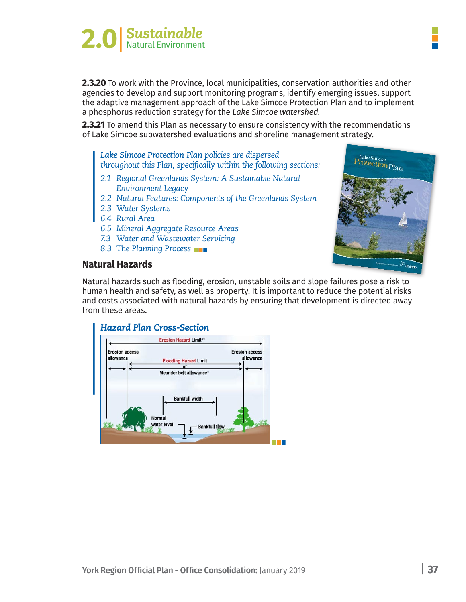

**2.3.20** To work with the Province, local municipalities, conservation authorities and other agencies to develop and support monitoring programs, identify emerging issues, support the adaptive management approach of the Lake Simcoe Protection Plan and to implement a phosphorus reduction strategy for the *Lake Simcoe watershed.*

**2.3.21** To amend this Plan as necessary to ensure consistency with the recommendations of Lake Simcoe subwatershed evaluations and shoreline management strategy.

*Lake Simcoe Protection Plan policies are dispersed throughout this Plan, specifically within the following sections:*

- *2.1 Regional Greenlands System: A Sustainable Natural Environment Legacy*
- *2.2 Natural Features: Components of the Greenlands System*
- *2.3 Water Systems*
- *6.4 Rural Area*
- *6.5 Mineral Aggregate Resource Areas*
- *7.3 Water and Wastewater Servicing*
- *8.3 The Planning Process*

# p<sub>Lake Simcoe</sub><br>Protection Plan

#### **Natural Hazards**

Natural hazards such as flooding, erosion, unstable soils and slope failures pose a risk to human health and safety, as well as property. It is important to reduce the potential risks and costs associated with natural hazards by ensuring that development is directed away from these areas.

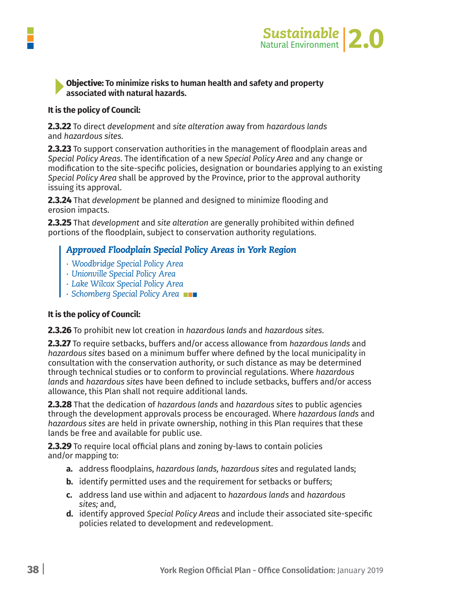

#### **Objective: To minimize risks to human health and safety and property associated with natural hazards.**

#### **It is the policy of Council:**

**2.3.22** To direct *development* and *site alteration* away from *hazardous lands* and *hazardous sites.*

**2.3.23** To support conservation authorities in the management of floodplain areas and *Special Policy Areas.* The identification of a new *Special Policy Area* and any change or modification to the site-specific policies, designation or boundaries applying to an existing *Special Policy Area* shall be approved by the Province, prior to the approval authority issuing its approval.

**2.3.24** That *development* be planned and designed to minimize flooding and erosion impacts.

**2.3.25** That *development* and *site alteration* are generally prohibited within defined portions of the floodplain, subject to conservation authority regulations.

#### *Approved Floodplain Special Policy Areas in York Region*

- *∙ Woodbridge Special Policy Area*
- *∙ Unionville Special Policy Area*
- *∙ Lake Wilcox Special Policy Area*
- *∙ Schomberg Special Policy Area*

#### **It is the policy of Council:**

**2.3.26** To prohibit new lot creation in *hazardous lands* and *hazardous sites.*

**2.3.27** To require setbacks, buffers and/or access allowance from *hazardous lands* and *hazardous sites* based on a minimum buffer where defined by the local municipality in consultation with the conservation authority, or such distance as may be determined through technical studies or to conform to provincial regulations. Where *hazardous lands* and *hazardous sites* have been defined to include setbacks, buffers and/or access allowance, this Plan shall not require additional lands.

**2.3.28** That the dedication of *hazardous lands* and *hazardous sites* to public agencies through the development approvals process be encouraged. Where *hazardous lands* and *hazardous sites* are held in private ownership, nothing in this Plan requires that these lands be free and available for public use.

**2.3.29** To require local official plans and zoning by-laws to contain policies and/or mapping to:

- **a.** address floodplains, *hazardous lands, hazardous sites* and regulated lands;
- **b.** identify permitted uses and the requirement for setbacks or buffers;
- **c.** address land use within and adjacent to *hazardous lands* and *hazardous sites;* and,
- **d.** identify approved *Special Policy Areas* and include their associated site-specific policies related to development and redevelopment.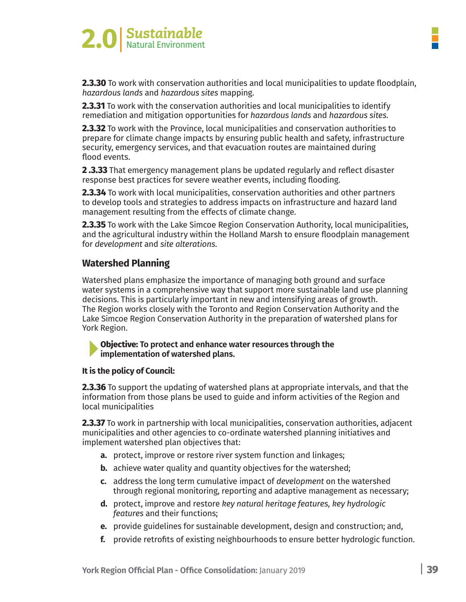

**2.3.30** To work with conservation authorities and local municipalities to update floodplain, *hazardous lands* and *hazardous sites* mapping.

**2.3.31** To work with the conservation authorities and local municipalities to identify remediation and mitigation opportunities for *hazardous lands* and *hazardous sites.*

**2.3.32** To work with the Province, local municipalities and conservation authorities to prepare for climate change impacts by ensuring public health and safety, infrastructure security, emergency services, and that evacuation routes are maintained during flood events.

**2 .3.33** That emergency management plans be updated regularly and reflect disaster response best practices for severe weather events, including flooding.

**2.3.34** To work with local municipalities, conservation authorities and other partners to develop tools and strategies to address impacts on infrastructure and hazard land management resulting from the effects of climate change.

**2.3.35** To work with the Lake Simcoe Region Conservation Authority, local municipalities, and the agricultural industry within the Holland Marsh to ensure floodplain management for *development* and *site alterations.*

#### **Watershed Planning**

Watershed plans emphasize the importance of managing both ground and surface water systems in a comprehensive way that support more sustainable land use planning decisions. This is particularly important in new and intensifying areas of growth. The Region works closely with the Toronto and Region Conservation Authority and the Lake Simcoe Region Conservation Authority in the preparation of watershed plans for York Region.

#### **Objective: To protect and enhance water resources through the implementation of watershed plans.**

#### **It is the policy of Council:**

**2.3.36** To support the updating of watershed plans at appropriate intervals, and that the information from those plans be used to guide and inform activities of the Region and local municipalities

**2.3.37** To work in partnership with local municipalities, conservation authorities, adjacent municipalities and other agencies to co-ordinate watershed planning initiatives and implement watershed plan objectives that:

- **a.** protect, improve or restore river system function and linkages;
- **b.** achieve water quality and quantity objectives for the watershed;
- **c.** address the long term cumulative impact of *development* on the watershed through regional monitoring, reporting and adaptive management as necessary;
- **d.** protect, improve and restore *key natural heritage features, key hydrologic features* and their functions;
- **e.** provide guidelines for sustainable development, design and construction; and,
- **f.** provide retrofits of existing neighbourhoods to ensure better hydrologic function.